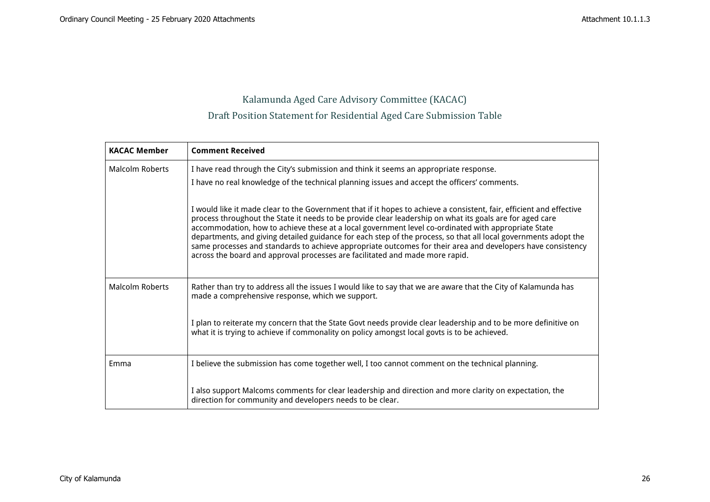## Kalamunda Aged Care Advisory Committee (KACAC) Draft Position Statement for Residential Aged Care Submission Table

| <b>KACAC Member</b>    | <b>Comment Received</b>                                                                                                                                                                                                                                                                                                                                                                                                                                                                                                                                                                                                                                   |  |  |  |  |  |
|------------------------|-----------------------------------------------------------------------------------------------------------------------------------------------------------------------------------------------------------------------------------------------------------------------------------------------------------------------------------------------------------------------------------------------------------------------------------------------------------------------------------------------------------------------------------------------------------------------------------------------------------------------------------------------------------|--|--|--|--|--|
| Malcolm Roberts        | I have read through the City's submission and think it seems an appropriate response.<br>I have no real knowledge of the technical planning issues and accept the officers' comments.                                                                                                                                                                                                                                                                                                                                                                                                                                                                     |  |  |  |  |  |
|                        | I would like it made clear to the Government that if it hopes to achieve a consistent, fair, efficient and effective<br>process throughout the State it needs to be provide clear leadership on what its goals are for aged care<br>accommodation, how to achieve these at a local government level co-ordinated with appropriate State<br>departments, and giving detailed guidance for each step of the process, so that all local governments adopt the<br>same processes and standards to achieve appropriate outcomes for their area and developers have consistency<br>across the board and approval processes are facilitated and made more rapid. |  |  |  |  |  |
| <b>Malcolm Roberts</b> | Rather than try to address all the issues I would like to say that we are aware that the City of Kalamunda has<br>made a comprehensive response, which we support.                                                                                                                                                                                                                                                                                                                                                                                                                                                                                        |  |  |  |  |  |
|                        | I plan to reiterate my concern that the State Govt needs provide clear leadership and to be more definitive on<br>what it is trying to achieve if commonality on policy amongst local govts is to be achieved.                                                                                                                                                                                                                                                                                                                                                                                                                                            |  |  |  |  |  |
| Emma                   | I believe the submission has come together well, I too cannot comment on the technical planning.                                                                                                                                                                                                                                                                                                                                                                                                                                                                                                                                                          |  |  |  |  |  |
|                        | I also support Malcoms comments for clear leadership and direction and more clarity on expectation, the<br>direction for community and developers needs to be clear.                                                                                                                                                                                                                                                                                                                                                                                                                                                                                      |  |  |  |  |  |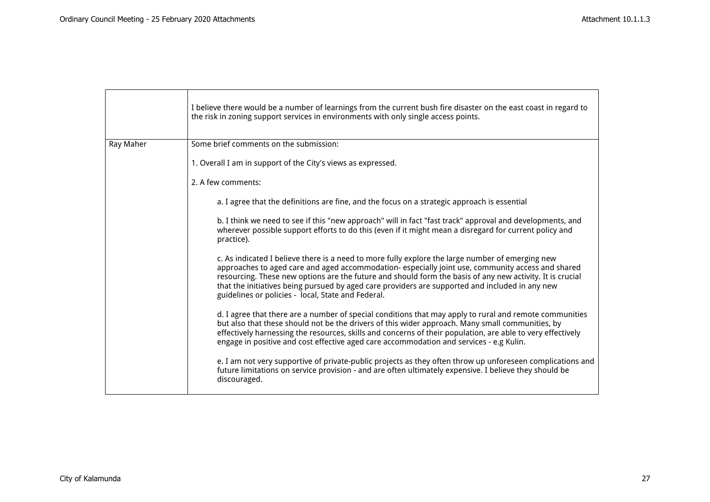|           | I believe there would be a number of learnings from the current bush fire disaster on the east coast in regard to<br>the risk in zoning support services in environments with only single access points.                                                                                                                                                                                                                                                                    |
|-----------|-----------------------------------------------------------------------------------------------------------------------------------------------------------------------------------------------------------------------------------------------------------------------------------------------------------------------------------------------------------------------------------------------------------------------------------------------------------------------------|
| Ray Maher | Some brief comments on the submission:                                                                                                                                                                                                                                                                                                                                                                                                                                      |
|           | 1. Overall I am in support of the City's views as expressed.                                                                                                                                                                                                                                                                                                                                                                                                                |
|           | 2. A few comments:                                                                                                                                                                                                                                                                                                                                                                                                                                                          |
|           | a. I agree that the definitions are fine, and the focus on a strategic approach is essential                                                                                                                                                                                                                                                                                                                                                                                |
|           | b. I think we need to see if this "new approach" will in fact "fast track" approval and developments, and<br>wherever possible support efforts to do this (even if it might mean a disregard for current policy and<br>practice).                                                                                                                                                                                                                                           |
|           | c. As indicated I believe there is a need to more fully explore the large number of emerging new<br>approaches to aged care and aged accommodation- especially joint use, community access and shared<br>resourcing. These new options are the future and should form the basis of any new activity. It is crucial<br>that the initiatives being pursued by aged care providers are supported and included in any new<br>guidelines or policies - local, State and Federal. |
|           | d. I agree that there are a number of special conditions that may apply to rural and remote communities<br>but also that these should not be the drivers of this wider approach. Many small communities, by<br>effectively harnessing the resources, skills and concerns of their population, are able to very effectively<br>engage in positive and cost effective aged care accommodation and services - e.g Kulin.                                                       |
|           | e. I am not very supportive of private-public projects as they often throw up unforeseen complications and<br>future limitations on service provision - and are often ultimately expensive. I believe they should be<br>discouraged.                                                                                                                                                                                                                                        |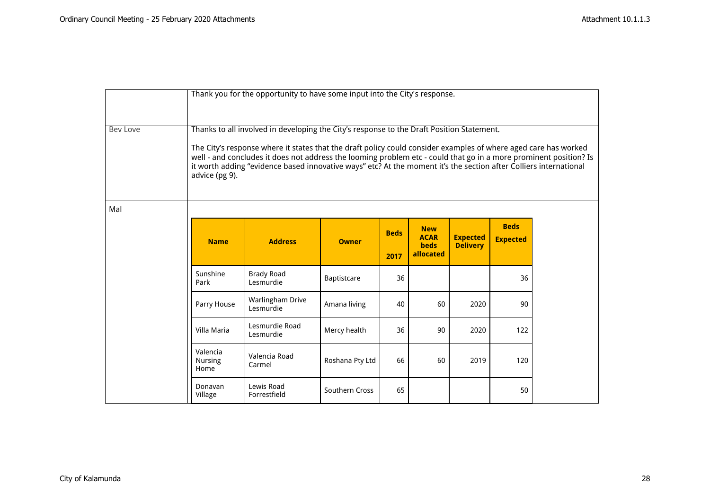|                 | Thank you for the opportunity to have some input into the City's response.                                                                                                                                                                                                                                                                                                                                                                                               |                                |                 |                     |                                                       |                                    |                                |  |  |
|-----------------|--------------------------------------------------------------------------------------------------------------------------------------------------------------------------------------------------------------------------------------------------------------------------------------------------------------------------------------------------------------------------------------------------------------------------------------------------------------------------|--------------------------------|-----------------|---------------------|-------------------------------------------------------|------------------------------------|--------------------------------|--|--|
| <b>Bev Love</b> | Thanks to all involved in developing the City's response to the Draft Position Statement.<br>The City's response where it states that the draft policy could consider examples of where aged care has worked<br>well - and concludes it does not address the looming problem etc - could that go in a more prominent position? Is<br>it worth adding "evidence based innovative ways" etc? At the moment it's the section after Colliers international<br>advice (pg 9). |                                |                 |                     |                                                       |                                    |                                |  |  |
| Mal             |                                                                                                                                                                                                                                                                                                                                                                                                                                                                          |                                |                 |                     |                                                       |                                    |                                |  |  |
|                 | <b>Name</b>                                                                                                                                                                                                                                                                                                                                                                                                                                                              | <b>Address</b>                 | <b>Owner</b>    | <b>Beds</b><br>2017 | <b>New</b><br><b>ACAR</b><br><b>beds</b><br>allocated | <b>Expected</b><br><b>Delivery</b> | <b>Beds</b><br><b>Expected</b> |  |  |
|                 | Sunshine<br>Park                                                                                                                                                                                                                                                                                                                                                                                                                                                         | <b>Brady Road</b><br>Lesmurdie | Baptistcare     | 36                  |                                                       |                                    | 36                             |  |  |
|                 | Parry House                                                                                                                                                                                                                                                                                                                                                                                                                                                              | Warlingham Drive<br>Lesmurdie  | Amana living    | 40                  | 60                                                    | 2020                               | 90                             |  |  |
|                 | Villa Maria                                                                                                                                                                                                                                                                                                                                                                                                                                                              | Lesmurdie Road<br>Lesmurdie    | Mercy health    | 36                  | 90                                                    | 2020                               | 122                            |  |  |
|                 | Valencia<br><b>Nursing</b><br>Home                                                                                                                                                                                                                                                                                                                                                                                                                                       | Valencia Road<br>Carmel        | Roshana Pty Ltd | 66                  | 60                                                    | 2019                               | 120                            |  |  |
|                 | Donavan<br>Village                                                                                                                                                                                                                                                                                                                                                                                                                                                       | Lewis Road<br>Forrestfield     | Southern Cross  | 65                  |                                                       |                                    | 50                             |  |  |